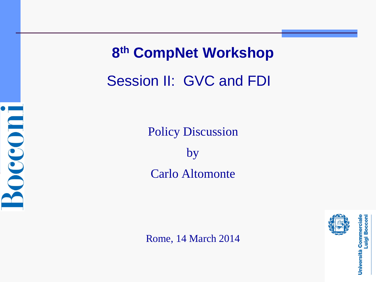

**8th CompNet Workshop** Session II: GVC and FDI

> Policy Discussion by Carlo Altomonte

Rome, 14 March 2014



Università Commerciale<br>Luigi Boccon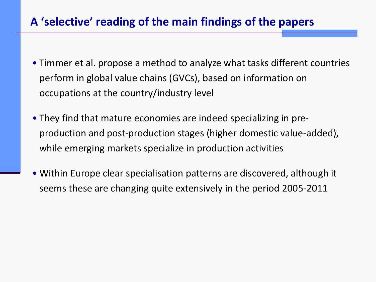## **A 'selective' reading of the main findings of the papers**

- Timmer et al. propose a method to analyze what tasks different countries perform in global value chains (GVCs), based on information on occupations at the country/industry level
- They find that mature economies are indeed specializing in preproduction and post-production stages (higher domestic value-added), while emerging markets specialize in production activities
- Within Europe clear specialisation patterns are discovered, although it seems these are changing quite extensively in the period 2005-2011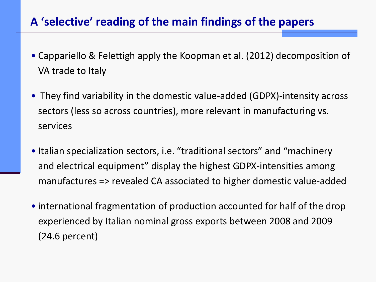## **A 'selective' reading of the main findings of the papers**

- Cappariello & Felettigh apply the Koopman et al. (2012) decomposition of VA trade to Italy
- They find variability in the domestic value-added (GDPX)-intensity across sectors (less so across countries), more relevant in manufacturing vs. services
- Italian specialization sectors, i.e. "traditional sectors" and "machinery and electrical equipment" display the highest GDPX-intensities among manufactures => revealed CA associated to higher domestic value-added
- international fragmentation of production accounted for half of the drop experienced by Italian nominal gross exports between 2008 and 2009 (24.6 percent)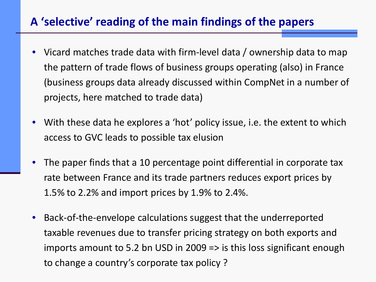## **A 'selective' reading of the main findings of the papers**

- Vicard matches trade data with firm-level data / ownership data to map the pattern of trade flows of business groups operating (also) in France (business groups data already discussed within CompNet in a number of projects, here matched to trade data)
- With these data he explores a 'hot' policy issue, i.e. the extent to which access to GVC leads to possible tax elusion
- The paper finds that a 10 percentage point differential in corporate tax rate between France and its trade partners reduces export prices by 1.5% to 2.2% and import prices by 1.9% to 2.4%.
- Back-of-the-envelope calculations suggest that the underreported taxable revenues due to transfer pricing strategy on both exports and imports amount to 5.2 bn USD in 2009 => is this loss significant enough to change a country's corporate tax policy ?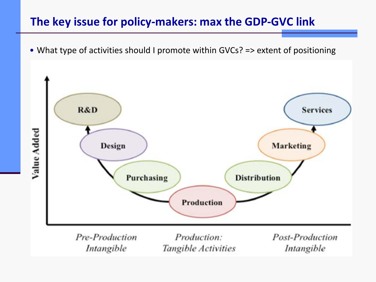## **The key issue for policy-makers: max the GDP-GVC link**

• What type of activities should I promote within GVCs? => extent of positioning

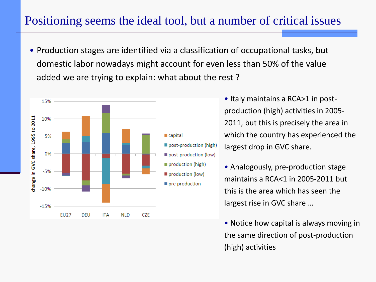## Positioning seems the ideal tool, but a number of critical issues

• Production stages are identified via a classification of occupational tasks, but domestic labor nowadays might account for even less than 50% of the value added we are trying to explain: what about the rest ?



• Italy maintains a RCA>1 in postproduction (high) activities in 2005- 2011, but this is precisely the area in which the country has experienced the largest drop in GVC share.

- Analogously, pre-production stage maintains a RCA<1 in 2005-2011 but this is the area which has seen the largest rise in GVC share …
- Notice how capital is always moving in the same direction of post-production (high) activities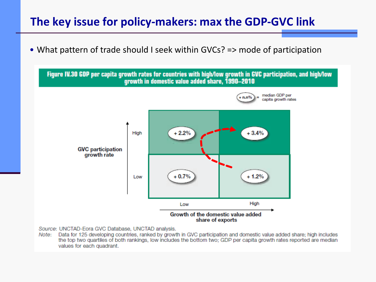#### **The key issue for policy-makers: max the GDP-GVC link**

• What pattern of trade should I seek within GVCs? => mode of participation



Source: UNCTAD-Eora GVC Database, UNCTAD analysis.

Data for 125 developing countries, ranked by growth in GVC participation and domestic value added share; high includes Note: the top two quartiles of both rankings, low includes the bottom two; GDP per capita growth rates reported are median values for each quadrant.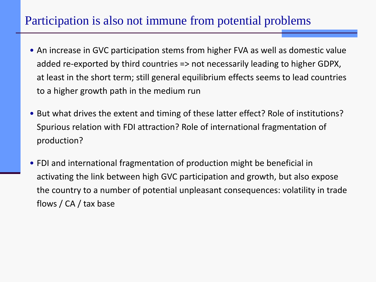# Participation is also not immune from potential problems

- An increase in GVC participation stems from higher FVA as well as domestic value added re-exported by third countries => not necessarily leading to higher GDPX, at least in the short term; still general equilibrium effects seems to lead countries to a higher growth path in the medium run
- But what drives the extent and timing of these latter effect? Role of institutions? Spurious relation with FDI attraction? Role of international fragmentation of production?
- FDI and international fragmentation of production might be beneficial in activating the link between high GVC participation and growth, but also expose the country to a number of potential unpleasant consequences: volatility in trade flows / CA / tax base